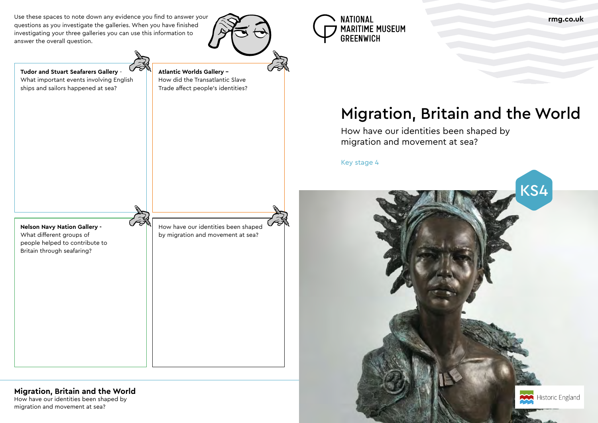How have our identities been shaped by migration and movement at sea?

# Migration, Britain and the World

How have our identities been shaped by migration and movement at sea?

Key stage 4

Use these spaces to note down any evidence you find to answer your questions as you investigate the galleries. When you have finished investigating your three galleries you can use this information to answer the overall question.







**Tudor and Stuart Seafarers Gallery** -

What important events involving English

ships and sailors happened at sea?

**Atlantic Worlds Gallery –**

How did the Transatlantic Slave Trade affect people's identities?

**Migration, Britain and the World** 

**Nelson Navy Nation Gallery -** What different groups of people helped to contribute to Britain through seafaring?

How have our identities been shaped by migration and movement at sea?

**rmg.co.uk**